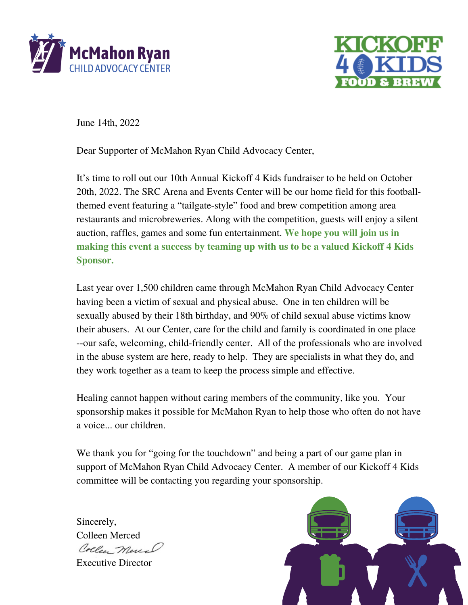



June 14th, 2022

Dear Supporter of McMahon Ryan Child Advocacy Center,

It's time to roll out our 10th Annual Kickoff 4 Kids fundraiser to be held on October 20th, 2022. The SRC Arena and Events Center will be our home field for this footballthemed event featuring a "tailgate-style" food and brew competition among area restaurants and microbreweries. Along with the competition, guests will enjoy a silent auction, raffles, games and some fun entertainment. **We hope you will join us in making this event a success by teaming up with us to be a valued Kickoff 4 Kids Sponsor.**

Last year over 1,500 children came through McMahon Ryan Child Advocacy Center having been a victim of sexual and physical abuse. One in ten children will be sexually abused by their 18th birthday, and 90% of child sexual abuse victims know their abusers. At our Center, care for the child and family is coordinated in one place --our safe, welcoming, child-friendly center. All of the professionals who are involved in the abuse system are here, ready to help. They are specialists in what they do, and they work together as a team to keep the process simple and effective.

Healing cannot happen without caring members of the community, like you. Your sponsorship makes it possible for McMahon Ryan to help those who often do not have a voice... our children.

We thank you for "going for the touchdown" and being a part of our game plan in support of McMahon Ryan Child Advocacy Center. A member of our Kickoff 4 Kids committee will be contacting you regarding your sponsorship.

Sincerely, Colleen Merced Collee Mercal Executive Director

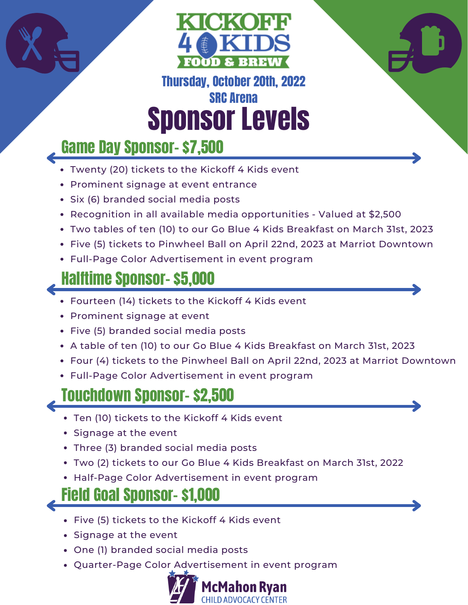



#### Sponsor Levels Thursday, October 20th, 2022 SRC Arena

# Game Day Sponsor- \$7,500

- Twenty (20) tickets to the Kickoff 4 Kids event
- Prominent signage at event entrance
- Six (6) branded social media posts
- Recognition in all available media opportunities Valued at \$2,500
- Two tables of ten (10) to our Go Blue 4 Kids Breakfast on March 31st, 2023
- Five (5) tickets to Pinwheel Ball on April 22nd, 2023 at Marriot Downtown
- Full-Page Color Advertisement in event program

## Halftime Sponsor- \$5,000

- Fourteen (14) tickets to the Kickoff 4 Kids event
- Prominent signage at event
- Five (5) branded social media posts
- A table of ten (10) to our Go Blue 4 Kids Breakfast on March 31st, 2023
- Four (4) tickets to the Pinwheel Ball on April 22nd, 2023 at Marriot Downtown
- Full-Page Color Advertisement in event program

### Touchdown Sponsor- \$2,500

- Ten (10) tickets to the Kickoff 4 Kids event
- Signage at the event
- Three (3) branded social media posts
- Two (2) tickets to our Go Blue 4 Kids Breakfast on March 31st, 2022
- Half-Page Color Advertisement in event program

### Field Goal Sponsor- \$1,000

- Five (5) tickets to the Kickoff 4 Kids event
- Signage at the event
- One (1) branded social media posts
- Quarter-Page Color Advertisement in event program